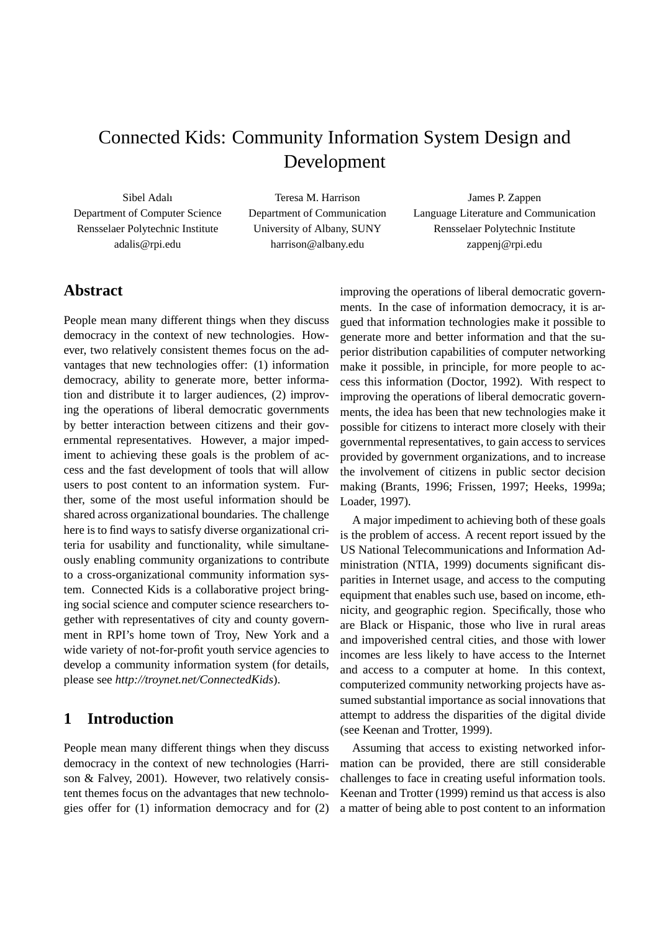# Connected Kids: Community Information System Design and Development

Sibel Adalı Department of Computer Science Rensselaer Polytechnic Institute adalis@rpi.edu

Teresa M. Harrison Department of Communication University of Albany, SUNY harrison@albany.edu

James P. Zappen Language Literature and Communication Rensselaer Polytechnic Institute zappenj@rpi.edu

## **Abstract**

People mean many different things when they discuss democracy in the context of new technologies. However, two relatively consistent themes focus on the advantages that new technologies offer: (1) information democracy, ability to generate more, better information and distribute it to larger audiences, (2) improving the operations of liberal democratic governments by better interaction between citizens and their governmental representatives. However, a major impediment to achieving these goals is the problem of access and the fast development of tools that will allow users to post content to an information system. Further, some of the most useful information should be shared across organizational boundaries. The challenge here is to find ways to satisfy diverse organizational criteria for usability and functionality, while simultaneously enabling community organizations to contribute to a cross-organizational community information system. Connected Kids is a collaborative project bringing social science and computer science researchers together with representatives of city and county government in RPI's home town of Troy, New York and a wide variety of not-for-profit youth service agencies to develop a community information system (for details, please see *http://troynet.net/ConnectedKids*).

# **1 Introduction**

People mean many different things when they discuss democracy in the context of new technologies (Harrison & Falvey, 2001). However, two relatively consistent themes focus on the advantages that new technologies offer for (1) information democracy and for (2)

improving the operations of liberal democratic governments. In the case of information democracy, it is argued that information technologies make it possible to generate more and better information and that the superior distribution capabilities of computer networking make it possible, in principle, for more people to access this information (Doctor, 1992). With respect to improving the operations of liberal democratic governments, the idea has been that new technologies make it possible for citizens to interact more closely with their governmental representatives, to gain access to services provided by government organizations, and to increase the involvement of citizens in public sector decision making (Brants, 1996; Frissen, 1997; Heeks, 1999a; Loader, 1997).

A major impediment to achieving both of these goals is the problem of access. A recent report issued by the US National Telecommunications and Information Administration (NTIA, 1999) documents significant disparities in Internet usage, and access to the computing equipment that enables such use, based on income, ethnicity, and geographic region. Specifically, those who are Black or Hispanic, those who live in rural areas and impoverished central cities, and those with lower incomes are less likely to have access to the Internet and access to a computer at home. In this context, computerized community networking projects have assumed substantial importance as social innovations that attempt to address the disparities of the digital divide (see Keenan and Trotter, 1999).

Assuming that access to existing networked information can be provided, there are still considerable challenges to face in creating useful information tools. Keenan and Trotter (1999) remind us that access is also a matter of being able to post content to an information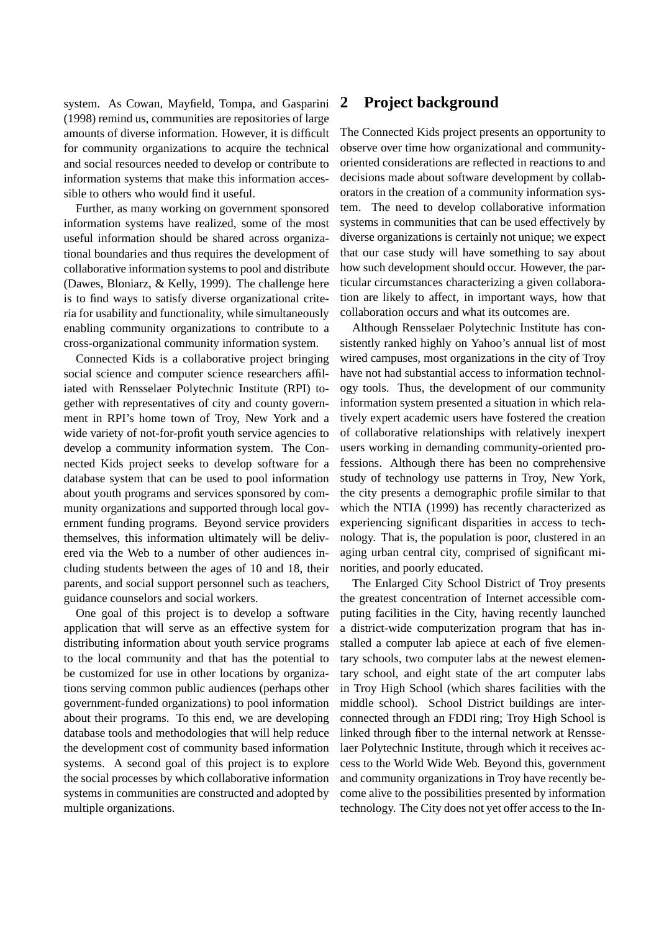system. As Cowan, Mayfield, Tompa, and Gasparini (1998) remind us, communities are repositories of large amounts of diverse information. However, it is difficult for community organizations to acquire the technical and social resources needed to develop or contribute to information systems that make this information accessible to others who would find it useful.

Further, as many working on government sponsored information systems have realized, some of the most useful information should be shared across organizational boundaries and thus requires the development of collaborative information systems to pool and distribute (Dawes, Bloniarz, & Kelly, 1999). The challenge here is to find ways to satisfy diverse organizational criteria for usability and functionality, while simultaneously enabling community organizations to contribute to a cross-organizational community information system.

Connected Kids is a collaborative project bringing social science and computer science researchers affiliated with Rensselaer Polytechnic Institute (RPI) together with representatives of city and county government in RPI's home town of Troy, New York and a wide variety of not-for-profit youth service agencies to develop a community information system. The Connected Kids project seeks to develop software for a database system that can be used to pool information about youth programs and services sponsored by community organizations and supported through local government funding programs. Beyond service providers themselves, this information ultimately will be delivered via the Web to a number of other audiences including students between the ages of 10 and 18, their parents, and social support personnel such as teachers, guidance counselors and social workers.

One goal of this project is to develop a software application that will serve as an effective system for distributing information about youth service programs to the local community and that has the potential to be customized for use in other locations by organizations serving common public audiences (perhaps other government-funded organizations) to pool information about their programs. To this end, we are developing database tools and methodologies that will help reduce the development cost of community based information systems. A second goal of this project is to explore the social processes by which collaborative information systems in communities are constructed and adopted by multiple organizations.

#### **2 Project background**

The Connected Kids project presents an opportunity to observe over time how organizational and communityoriented considerations are reflected in reactions to and decisions made about software development by collaborators in the creation of a community information system. The need to develop collaborative information systems in communities that can be used effectively by diverse organizations is certainly not unique; we expect that our case study will have something to say about how such development should occur. However, the particular circumstances characterizing a given collaboration are likely to affect, in important ways, how that collaboration occurs and what its outcomes are.

Although Rensselaer Polytechnic Institute has consistently ranked highly on Yahoo's annual list of most wired campuses, most organizations in the city of Troy have not had substantial access to information technology tools. Thus, the development of our community information system presented a situation in which relatively expert academic users have fostered the creation of collaborative relationships with relatively inexpert users working in demanding community-oriented professions. Although there has been no comprehensive study of technology use patterns in Troy, New York, the city presents a demographic profile similar to that which the NTIA (1999) has recently characterized as experiencing significant disparities in access to technology. That is, the population is poor, clustered in an aging urban central city, comprised of significant minorities, and poorly educated.

The Enlarged City School District of Troy presents the greatest concentration of Internet accessible computing facilities in the City, having recently launched a district-wide computerization program that has installed a computer lab apiece at each of five elementary schools, two computer labs at the newest elementary school, and eight state of the art computer labs in Troy High School (which shares facilities with the middle school). School District buildings are interconnected through an FDDI ring; Troy High School is linked through fiber to the internal network at Rensselaer Polytechnic Institute, through which it receives access to the World Wide Web. Beyond this, government and community organizations in Troy have recently become alive to the possibilities presented by information technology. The City does not yet offer access to the In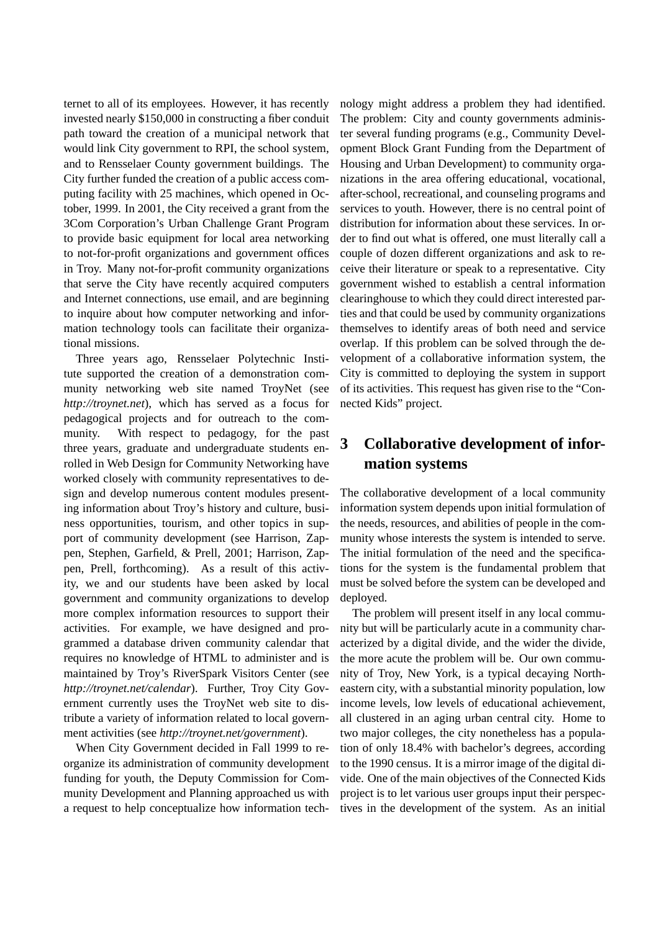ternet to all of its employees. However, it has recently invested nearly \$150,000 in constructing a fiber conduit path toward the creation of a municipal network that would link City government to RPI, the school system, and to Rensselaer County government buildings. The City further funded the creation of a public access computing facility with 25 machines, which opened in October, 1999. In 2001, the City received a grant from the 3Com Corporation's Urban Challenge Grant Program to provide basic equipment for local area networking to not-for-profit organizations and government offices in Troy. Many not-for-profit community organizations that serve the City have recently acquired computers and Internet connections, use email, and are beginning to inquire about how computer networking and information technology tools can facilitate their organizational missions.

Three years ago, Rensselaer Polytechnic Institute supported the creation of a demonstration community networking web site named TroyNet (see *http://troynet.net*), which has served as a focus for pedagogical projects and for outreach to the community. With respect to pedagogy, for the past three years, graduate and undergraduate students enrolled in Web Design for Community Networking have worked closely with community representatives to design and develop numerous content modules presenting information about Troy's history and culture, business opportunities, tourism, and other topics in support of community development (see Harrison, Zappen, Stephen, Garfield, & Prell, 2001; Harrison, Zappen, Prell, forthcoming). As a result of this activity, we and our students have been asked by local government and community organizations to develop more complex information resources to support their activities. For example, we have designed and programmed a database driven community calendar that requires no knowledge of HTML to administer and is maintained by Troy's RiverSpark Visitors Center (see *http://troynet.net/calendar*). Further, Troy City Government currently uses the TroyNet web site to distribute a variety of information related to local government activities (see *http://troynet.net/government*).

When City Government decided in Fall 1999 to reorganize its administration of community development funding for youth, the Deputy Commission for Community Development and Planning approached us with a request to help conceptualize how information technology might address a problem they had identified. The problem: City and county governments administer several funding programs (e.g., Community Development Block Grant Funding from the Department of Housing and Urban Development) to community organizations in the area offering educational, vocational, after-school, recreational, and counseling programs and services to youth. However, there is no central point of distribution for information about these services. In order to find out what is offered, one must literally call a couple of dozen different organizations and ask to receive their literature or speak to a representative. City government wished to establish a central information clearinghouse to which they could direct interested parties and that could be used by community organizations themselves to identify areas of both need and service overlap. If this problem can be solved through the development of a collaborative information system, the City is committed to deploying the system in support of its activities. This request has given rise to the "Connected Kids" project.

# **3 Collaborative development of information systems**

The collaborative development of a local community information system depends upon initial formulation of the needs, resources, and abilities of people in the community whose interests the system is intended to serve. The initial formulation of the need and the specifications for the system is the fundamental problem that must be solved before the system can be developed and deployed.

The problem will present itself in any local community but will be particularly acute in a community characterized by a digital divide, and the wider the divide, the more acute the problem will be. Our own community of Troy, New York, is a typical decaying Northeastern city, with a substantial minority population, low income levels, low levels of educational achievement, all clustered in an aging urban central city. Home to two major colleges, the city nonetheless has a population of only 18.4% with bachelor's degrees, according to the 1990 census. It is a mirror image of the digital divide. One of the main objectives of the Connected Kids project is to let various user groups input their perspectives in the development of the system. As an initial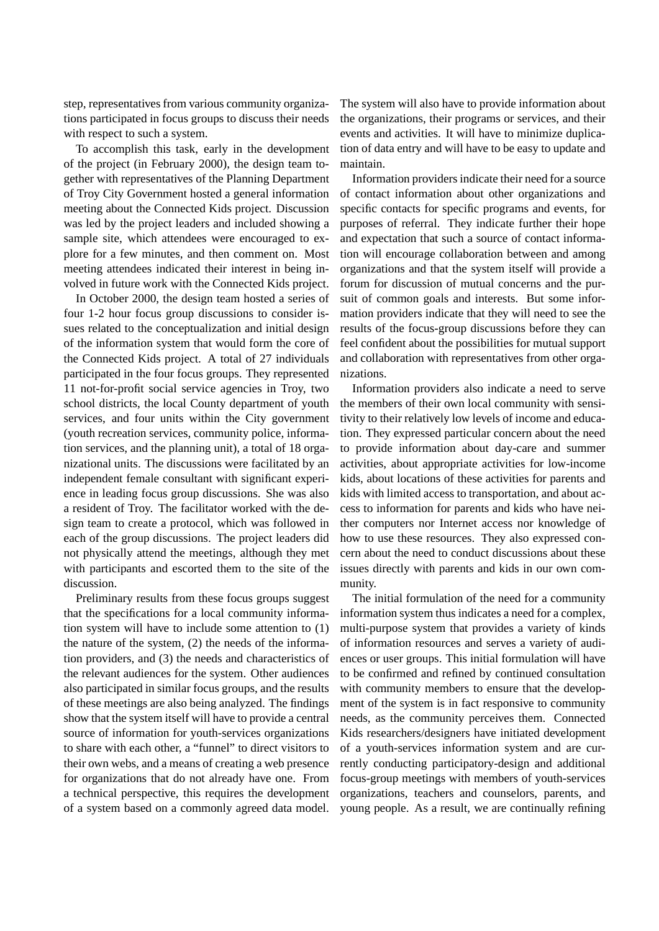step, representatives from various community organizations participated in focus groups to discuss their needs with respect to such a system.

To accomplish this task, early in the development of the project (in February 2000), the design team together with representatives of the Planning Department of Troy City Government hosted a general information meeting about the Connected Kids project. Discussion was led by the project leaders and included showing a sample site, which attendees were encouraged to explore for a few minutes, and then comment on. Most meeting attendees indicated their interest in being involved in future work with the Connected Kids project.

In October 2000, the design team hosted a series of four 1-2 hour focus group discussions to consider issues related to the conceptualization and initial design of the information system that would form the core of the Connected Kids project. A total of 27 individuals participated in the four focus groups. They represented 11 not-for-profit social service agencies in Troy, two school districts, the local County department of youth services, and four units within the City government (youth recreation services, community police, information services, and the planning unit), a total of 18 organizational units. The discussions were facilitated by an independent female consultant with significant experience in leading focus group discussions. She was also a resident of Troy. The facilitator worked with the design team to create a protocol, which was followed in each of the group discussions. The project leaders did not physically attend the meetings, although they met with participants and escorted them to the site of the discussion.

Preliminary results from these focus groups suggest that the specifications for a local community information system will have to include some attention to (1) the nature of the system, (2) the needs of the information providers, and (3) the needs and characteristics of the relevant audiences for the system. Other audiences also participated in similar focus groups, and the results of these meetings are also being analyzed. The findings show that the system itself will have to provide a central source of information for youth-services organizations to share with each other, a "funnel" to direct visitors to their own webs, and a means of creating a web presence for organizations that do not already have one. From a technical perspective, this requires the development of a system based on a commonly agreed data model.

The system will also have to provide information about the organizations, their programs or services, and their events and activities. It will have to minimize duplication of data entry and will have to be easy to update and maintain.

Information providers indicate their need for a source of contact information about other organizations and specific contacts for specific programs and events, for purposes of referral. They indicate further their hope and expectation that such a source of contact information will encourage collaboration between and among organizations and that the system itself will provide a forum for discussion of mutual concerns and the pursuit of common goals and interests. But some information providers indicate that they will need to see the results of the focus-group discussions before they can feel confident about the possibilities for mutual support and collaboration with representatives from other organizations.

Information providers also indicate a need to serve the members of their own local community with sensitivity to their relatively low levels of income and education. They expressed particular concern about the need to provide information about day-care and summer activities, about appropriate activities for low-income kids, about locations of these activities for parents and kids with limited access to transportation, and about access to information for parents and kids who have neither computers nor Internet access nor knowledge of how to use these resources. They also expressed concern about the need to conduct discussions about these issues directly with parents and kids in our own community.

The initial formulation of the need for a community information system thus indicates a need for a complex, multi-purpose system that provides a variety of kinds of information resources and serves a variety of audiences or user groups. This initial formulation will have to be confirmed and refined by continued consultation with community members to ensure that the development of the system is in fact responsive to community needs, as the community perceives them. Connected Kids researchers/designers have initiated development of a youth-services information system and are currently conducting participatory-design and additional focus-group meetings with members of youth-services organizations, teachers and counselors, parents, and young people. As a result, we are continually refining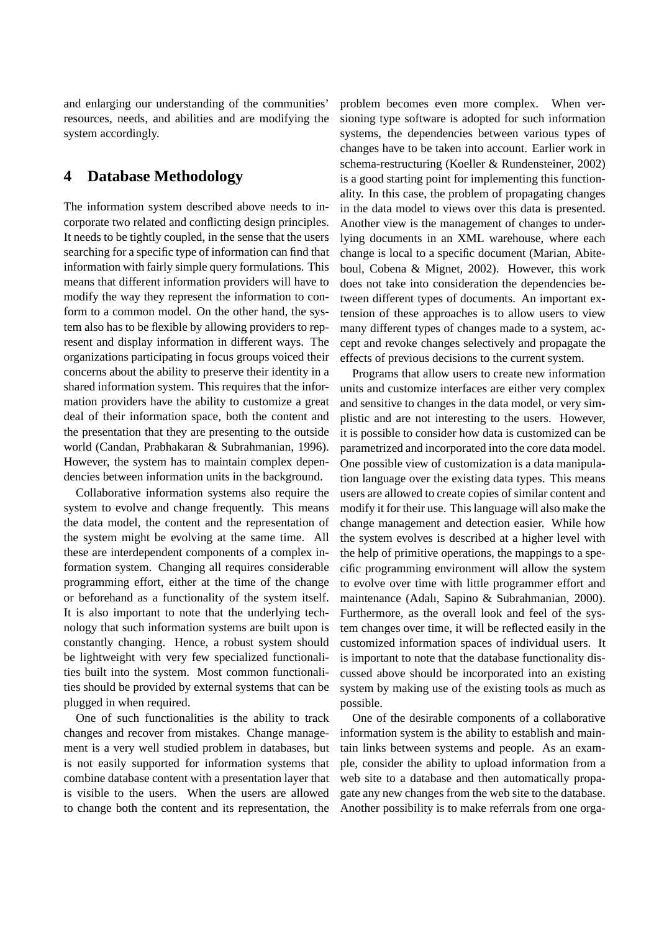and enlarging our understanding of the communities' resources, needs, and abilities and are modifying the system accordingly.

### **4 Database Methodology**

The information system described above needs to incorporate two related and conflicting design principles. It needs to be tightly coupled, in the sense that the users searching for a specific type of information can find that information with fairly simple query formulations. This means that different information providers will have to modify the way they represent the information to conform to a common model. On the other hand, the system also has to be flexible by allowing providers to represent and display information in different ways. The organizations participating in focus groups voiced their concerns about the ability to preserve their identity in a shared information system. This requires that the information providers have the ability to customize a great deal of their information space, both the content and the presentation that they are presenting to the outside world (Candan, Prabhakaran & Subrahmanian, 1996). However, the system has to maintain complex dependencies between information units in the background.

Collaborative information systems also require the system to evolve and change frequently. This means the data model, the content and the representation of the system might be evolving at the same time. All these are interdependent components of a complex information system. Changing all requires considerable programming effort, either at the time of the change or beforehand as a functionality of the system itself. It is also important to note that the underlying technology that such information systems are built upon is constantly changing. Hence, a robust system should be lightweight with very few specialized functionalities built into the system. Most common functionalities should be provided by external systems that can be plugged in when required.

One of such functionalities is the ability to track changes and recover from mistakes. Change management is a very well studied problem in databases, but is not easily supported for information systems that combine database content with a presentation layer that is visible to the users. When the users are allowed to change both the content and its representation, the problem becomes even more complex. When versioning type software is adopted for such information systems, the dependencies between various types of changes have to be taken into account. Earlier work in schema-restructuring (Koeller & Rundensteiner, 2002) is a good starting point for implementing this functionality. In this case, the problem of propagating changes in the data model to views over this data is presented. Another view is the management of changes to underlying documents in an XML warehouse, where each change is local to a specific document (Marian, Abiteboul, Cobena & Mignet, 2002). However, this work does not take into consideration the dependencies between different types of documents. An important extension of these approaches is to allow users to view many different types of changes made to a system, accept and revoke changes selectively and propagate the effects of previous decisions to the current system.

Programs that allow users to create new information units and customize interfaces are either very complex and sensitive to changes in the data model, or very simplistic and are not interesting to the users. However, it is possible to consider how data is customized can be parametrized and incorporated into the core data model. One possible view of customization is a data manipulation language over the existing data types. This means users are allowed to create copies of similar content and modify it for their use. This language will also make the change management and detection easier. While how the system evolves is described at a higher level with the help of primitive operations, the mappings to a specific programming environment will allow the system to evolve over time with little programmer effort and maintenance (Adalı, Sapino & Subrahmanian, 2000). Furthermore, as the overall look and feel of the system changes over time, it will be reflected easily in the customized information spaces of individual users. It is important to note that the database functionality discussed above should be incorporated into an existing system by making use of the existing tools as much as possible.

One of the desirable components of a collaborative information system is the ability to establish and maintain links between systems and people. As an example, consider the ability to upload information from a web site to a database and then automatically propagate any new changes from the web site to the database. Another possibility is to make referrals from one orga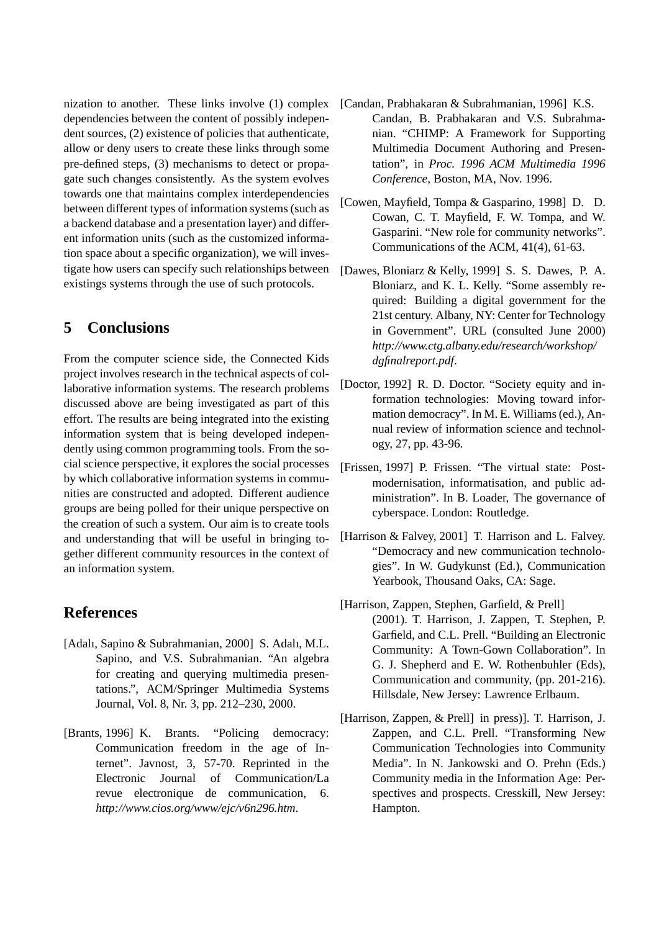nization to another. These links involve (1) complex dependencies between the content of possibly independent sources, (2) existence of policies that authenticate, allow or deny users to create these links through some pre-defined steps, (3) mechanisms to detect or propagate such changes consistently. As the system evolves towards one that maintains complex interdependencies between different types of information systems (such as a backend database and a presentation layer) and different information units (such as the customized information space about a specific organization), we will investigate how users can specify such relationships between existings systems through the use of such protocols.

## **5 Conclusions**

From the computer science side, the Connected Kids project involves research in the technical aspects of collaborative information systems. The research problems discussed above are being investigated as part of this effort. The results are being integrated into the existing information system that is being developed independently using common programming tools. From the social science perspective, it explores the social processes by which collaborative information systems in communities are constructed and adopted. Different audience groups are being polled for their unique perspective on the creation of such a system. Our aim is to create tools and understanding that will be useful in bringing together different community resources in the context of an information system.

#### **References**

- [Adalı, Sapino & Subrahmanian, 2000] S. Adalı, M.L. Sapino, and V.S. Subrahmanian. "An algebra for creating and querying multimedia presentations.", ACM/Springer Multimedia Systems Journal, Vol. 8, Nr. 3, pp. 212–230, 2000.
- [Brants, 1996] K. Brants. "Policing democracy: Communication freedom in the age of Internet". Javnost, 3, 57-70. Reprinted in the Electronic Journal of Communication/La revue electronique de communication, 6. *http://www.cios.org/www/ejc/v6n296.htm*.
- [Candan, Prabhakaran & Subrahmanian, 1996] K.S. Candan, B. Prabhakaran and V.S. Subrahmanian. "CHIMP: A Framework for Supporting Multimedia Document Authoring and Presentation", in *Proc. 1996 ACM Multimedia 1996 Conference*, Boston, MA, Nov. 1996.
- [Cowen, Mayfield, Tompa & Gasparino, 1998] D. D. Cowan, C. T. Mayfield, F. W. Tompa, and W. Gasparini. "New role for community networks". Communications of the ACM, 41(4), 61-63.
- [Dawes, Bloniarz & Kelly, 1999] S. S. Dawes, P. A. Bloniarz, and K. L. Kelly. "Some assembly required: Building a digital government for the 21st century. Albany, NY: Center for Technology in Government". URL (consulted June 2000) *http://www.ctg.albany.edu/research/workshop/ dgfinalreport.pdf*.
- [Doctor, 1992] R. D. Doctor. "Society equity and information technologies: Moving toward information democracy". In M. E. Williams (ed.), Annual review of information science and technology, 27, pp. 43-96.
- [Frissen, 1997] P. Frissen. "The virtual state: Postmodernisation, informatisation, and public administration". In B. Loader, The governance of cyberspace. London: Routledge.
- [Harrison & Falvey, 2001] T. Harrison and L. Falvey. "Democracy and new communication technologies". In W. Gudykunst (Ed.), Communication Yearbook, Thousand Oaks, CA: Sage.
- [Harrison, Zappen, Stephen, Garfield, & Prell] (2001). T. Harrison, J. Zappen, T. Stephen, P. Garfield, and C.L. Prell. "Building an Electronic Community: A Town-Gown Collaboration". In G. J. Shepherd and E. W. Rothenbuhler (Eds), Communication and community, (pp. 201-216). Hillsdale, New Jersey: Lawrence Erlbaum.
- [Harrison, Zappen, & Prell] in press)]. T. Harrison, J. Zappen, and C.L. Prell. "Transforming New Communication Technologies into Community Media". In N. Jankowski and O. Prehn (Eds.) Community media in the Information Age: Perspectives and prospects. Cresskill, New Jersey: Hampton.